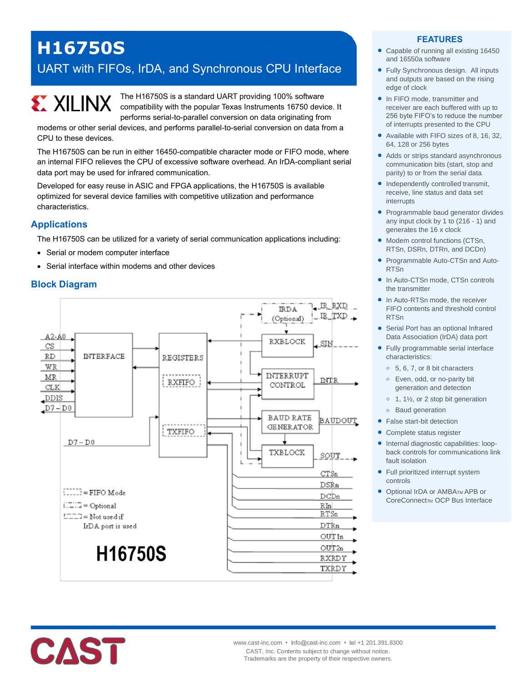# **H16750S**

# UART with FIFOs, IrDA, and Synchronous CPU Interface



The H16750S is a standard UART providing 100% software compatibility with the popular Texas Instruments 16750 device. It performs serial-to-parallel conversion on data originating from

modems or other serial devices, and performs parallel-to-serial conversion on data from a CPU to these devices.

The H16750S can be run in either 16450-compatible character mode or FIFO mode, where an internal FIFO relieves the CPU of excessive software overhead. An IrDA-compliant serial data port may be used for infrared communication.

Developed for easy reuse in ASIC and FPGA applications, the H16750S is available optimized for several device families with competitive utilization and performance characteristics.

# **Applications**

The H16750S can be utilized for a variety of serial communication applications including:

- Serial or modem computer interface
- Serial interface within modems and other devices

# **Block Diagram**



#### **FEATURES**

- Capable of running all existing 16450 and 16550a software
- Fully Synchronous design. All inputs and outputs are based on the rising edge of clock
- In FIFO mode, transmitter and receiver are each buffered with up to 256 byte FIFO's to reduce the number of interrupts presented to the CPU
- Available with FIFO sizes of 8, 16, 32, 64, 128 or 256 bytes
- Adds or strips standard asynchronous communication bits (start, stop and parity) to or from the serial data
- Independently controlled transmit, receive, line status and data set interrupts
- Programmable baud generator divides any input clock by 1 to (216 - 1) and generates the 16 x clock
- Modem control functions (CTSn, RTSn, DSRn, DTRn, and DCDn)
- Programmable Auto-CTSn and Auto-RTSn
- In Auto-CTSn mode, CTSn controls the transmitter
- In Auto-RTSn mode, the receiver FIFO contents and threshold control RTSn
- Serial Port has an optional Infrared Data Association (IrDA) data port
- Fully programmable serial interface characteristics:
	- **o** 5, 6, 7, or 8 bit characters
	- **o** Even, odd, or no-parity bit generation and detection
	- **o** 1, 1½, or 2 stop bit generation
	- **o** Baud generation
- **•** False start-bit detection
- Complete status register
- Internal diagnostic capabilities: loopback controls for communications link fault isolation
- Full prioritized interrupt system controls
- **Optional IrDA or AMBATM APB or** CoreConnect<sub>M</sub> OCP Bus Interface

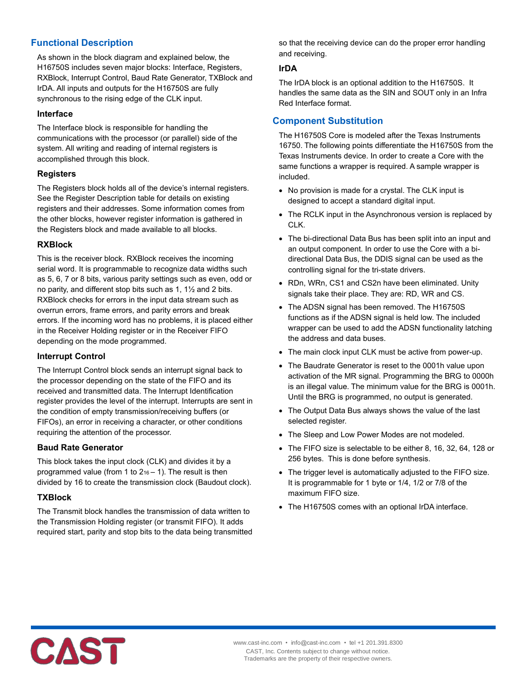# **Functional Description**

As shown in the block diagram and explained below, the H16750S includes seven major blocks: Interface, Registers, RXBlock, Interrupt Control, Baud Rate Generator, TXBlock and IrDA. All inputs and outputs for the H16750S are fully synchronous to the rising edge of the CLK input.

#### **Interface**

The Interface block is responsible for handling the communications with the processor (or parallel) side of the system. All writing and reading of internal registers is accomplished through this block.

#### **Registers**

The Registers block holds all of the device's internal registers. See the Register Description table for details on existing registers and their addresses. Some information comes from the other blocks, however register information is gathered in the Registers block and made available to all blocks.

#### **RXBlock**

This is the receiver block. RXBlock receives the incoming serial word. It is programmable to recognize data widths such as 5, 6, 7 or 8 bits, various parity settings such as even, odd or no parity, and different stop bits such as 1, 1½ and 2 bits. RXBlock checks for errors in the input data stream such as overrun errors, frame errors, and parity errors and break errors. If the incoming word has no problems, it is placed either in the Receiver Holding register or in the Receiver FIFO depending on the mode programmed.

#### **Interrupt Control**

The Interrupt Control block sends an interrupt signal back to the processor depending on the state of the FIFO and its received and transmitted data. The Interrupt Identification register provides the level of the interrupt. Interrupts are sent in the condition of empty transmission/receiving buffers (or FIFOs), an error in receiving a character, or other conditions requiring the attention of the processor.

#### **Baud Rate Generator**

This block takes the input clock (CLK) and divides it by a programmed value (from 1 to  $2_{16} - 1$ ). The result is then divided by 16 to create the transmission clock (Baudout clock).

#### **TXBlock**

The Transmit block handles the transmission of data written to the Transmission Holding register (or transmit FIFO). It adds required start, parity and stop bits to the data being transmitted so that the receiving device can do the proper error handling and receiving.

#### **IrDA**

The IrDA block is an optional addition to the H16750S. It handles the same data as the SIN and SOUT only in an Infra Red Interface format.

# **Component Substitution**

The H16750S Core is modeled after the Texas Instruments 16750. The following points differentiate the H16750S from the Texas Instruments device. In order to create a Core with the same functions a wrapper is required. A sample wrapper is included.

- No provision is made for a crystal. The CLK input is designed to accept a standard digital input.
- The RCLK input in the Asynchronous version is replaced by CLK.
- The bi-directional Data Bus has been split into an input and an output component. In order to use the Core with a bidirectional Data Bus, the DDIS signal can be used as the controlling signal for the tri-state drivers.
- RDn, WRn, CS1 and CS2n have been eliminated. Unity signals take their place. They are: RD, WR and CS.
- The ADSN signal has been removed. The H16750S functions as if the ADSN signal is held low. The included wrapper can be used to add the ADSN functionality latching the address and data buses.
- The main clock input CLK must be active from power-up.
- The Baudrate Generator is reset to the 0001h value upon activation of the MR signal. Programming the BRG to 0000h is an illegal value. The minimum value for the BRG is 0001h. Until the BRG is programmed, no output is generated.
- The Output Data Bus always shows the value of the last selected register.
- The Sleep and Low Power Modes are not modeled.
- The FIFO size is selectable to be either 8, 16, 32, 64, 128 or 256 bytes. This is done before synthesis.
- The trigger level is automatically adjusted to the FIFO size. It is programmable for 1 byte or 1/4, 1/2 or 7/8 of the maximum FIFO size.
- The H16750S comes with an optional IrDA interface.

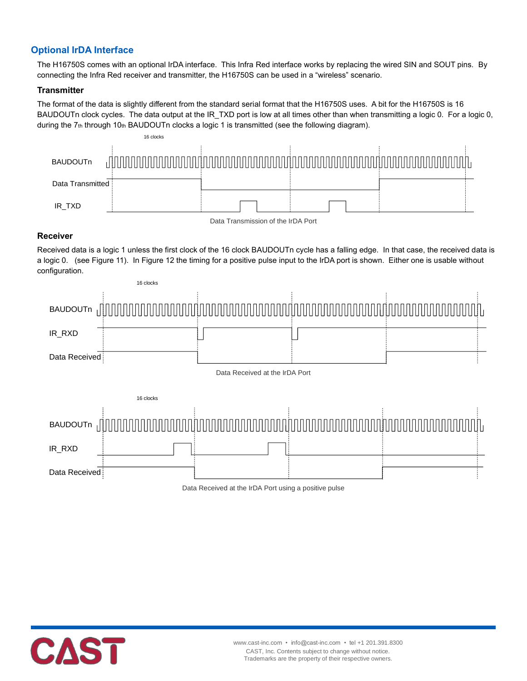# **Optional IrDA Interface**

The H16750S comes with an optional IrDA interface. This Infra Red interface works by replacing the wired SIN and SOUT pins. By connecting the Infra Red receiver and transmitter, the H16750S can be used in a "wireless" scenario.

#### **Transmitter**

The format of the data is slightly different from the standard serial format that the H16750S uses. A bit for the H16750S is 16 BAUDOUTn clock cycles. The data output at the IR\_TXD port is low at all times other than when transmitting a logic 0. For a logic 0, during the 7th through 10th BAUDOUTn clocks a logic 1 is transmitted (see the following diagram).



#### Data Transmission of the IrDA Port

#### **Receiver**

Received data is a logic 1 unless the first clock of the 16 clock BAUDOUTn cycle has a falling edge. In that case, the received data is a logic 0. (see Figure 11). In Figure 12 the timing for a positive pulse input to the IrDA port is shown. Either one is usable without configuration.



Data Received at the IrDA Port using a positive pulse